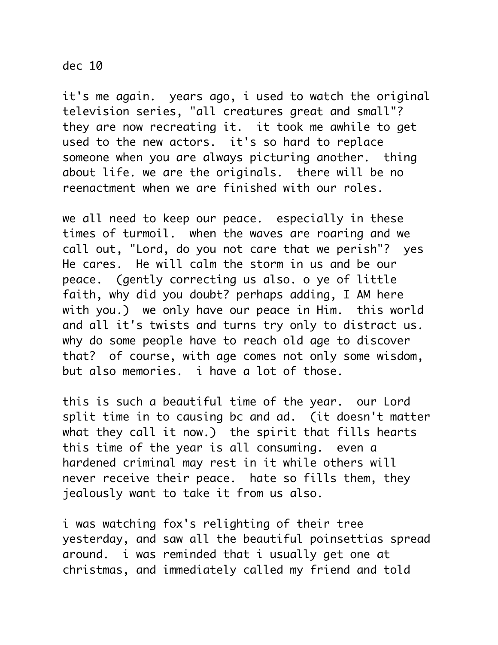it's me again. years ago, i used to watch the original television series, "all creatures great and small"? they are now recreating it. it took me awhile to get used to the new actors. it's so hard to replace someone when you are always picturing another. thing about life. we are the originals. there will be no reenactment when we are finished with our roles.

we all need to keep our peace. especially in these times of turmoil. when the waves are roaring and we call out, "Lord, do you not care that we perish"? yes He cares. He will calm the storm in us and be our peace. (gently correcting us also. o ye of little faith, why did you doubt? perhaps adding, I AM here with you.) we only have our peace in Him. this world and all it's twists and turns try only to distract us. why do some people have to reach old age to discover that? of course, with age comes not only some wisdom, but also memories. i have a lot of those.

this is such a beautiful time of the year. our Lord split time in to causing bc and ad. (it doesn't matter what they call it now.) the spirit that fills hearts this time of the year is all consuming. even a hardened criminal may rest in it while others will never receive their peace. hate so fills them, they jealously want to take it from us also.

i was watching fox's relighting of their tree yesterday, and saw all the beautiful poinsettias spread around. i was reminded that i usually get one at christmas, and immediately called my friend and told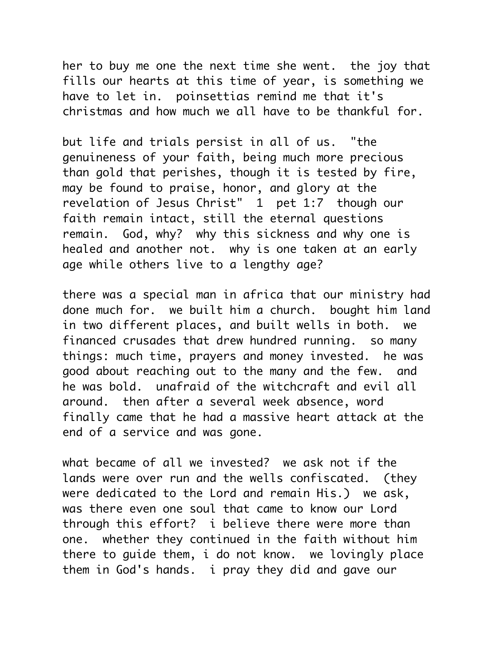her to buy me one the next time she went. the joy that fills our hearts at this time of year, is something we have to let in. poinsettias remind me that it's christmas and how much we all have to be thankful for.

but life and trials persist in all of us. "the genuineness of your faith, being much more precious than gold that perishes, though it is tested by fire, may be found to praise, honor, and glory at the revelation of Jesus Christ" 1 pet 1:7 though our faith remain intact, still the eternal questions remain. God, why? why this sickness and why one is healed and another not. why is one taken at an early age while others live to a lengthy age?

there was a special man in africa that our ministry had done much for. we built him a church. bought him land in two different places, and built wells in both. we financed crusades that drew hundred running. so many things: much time, prayers and money invested. he was good about reaching out to the many and the few. and he was bold. unafraid of the witchcraft and evil all around. then after a several week absence, word finally came that he had a massive heart attack at the end of a service and was gone.

what became of all we invested? we ask not if the lands were over run and the wells confiscated. (they were dedicated to the Lord and remain His.) we ask, was there even one soul that came to know our Lord through this effort? i believe there were more than one. whether they continued in the faith without him there to guide them, i do not know. we lovingly place them in God's hands. i pray they did and gave our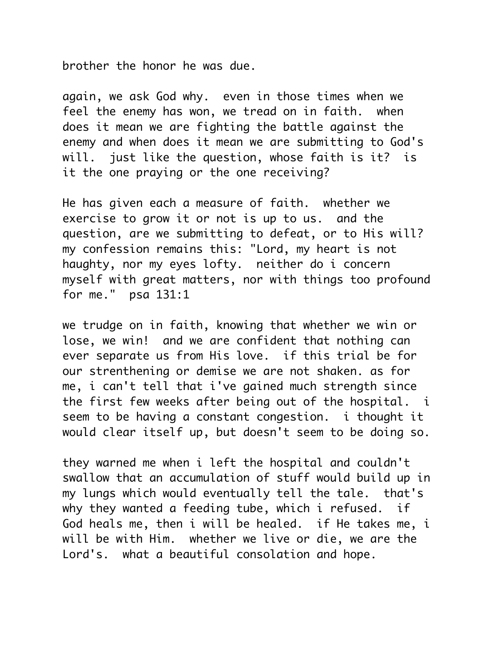brother the honor he was due.

again, we ask God why. even in those times when we feel the enemy has won, we tread on in faith. when does it mean we are fighting the battle against the enemy and when does it mean we are submitting to God's will. just like the question, whose faith is it? is it the one praying or the one receiving?

He has given each a measure of faith. whether we exercise to grow it or not is up to us. and the question, are we submitting to defeat, or to His will? my confession remains this: "Lord, my heart is not haughty, nor my eyes lofty. neither do i concern myself with great matters, nor with things too profound for me." psa 131:1

we trudge on in faith, knowing that whether we win or lose, we win! and we are confident that nothing can ever separate us from His love. if this trial be for our strenthening or demise we are not shaken. as for me, i can't tell that i've gained much strength since the first few weeks after being out of the hospital. i seem to be having a constant congestion. i thought it would clear itself up, but doesn't seem to be doing so.

they warned me when i left the hospital and couldn't swallow that an accumulation of stuff would build up in my lungs which would eventually tell the tale. that's why they wanted a feeding tube, which i refused. if God heals me, then i will be healed. if He takes me, i will be with Him. whether we live or die, we are the Lord's. what a beautiful consolation and hope.